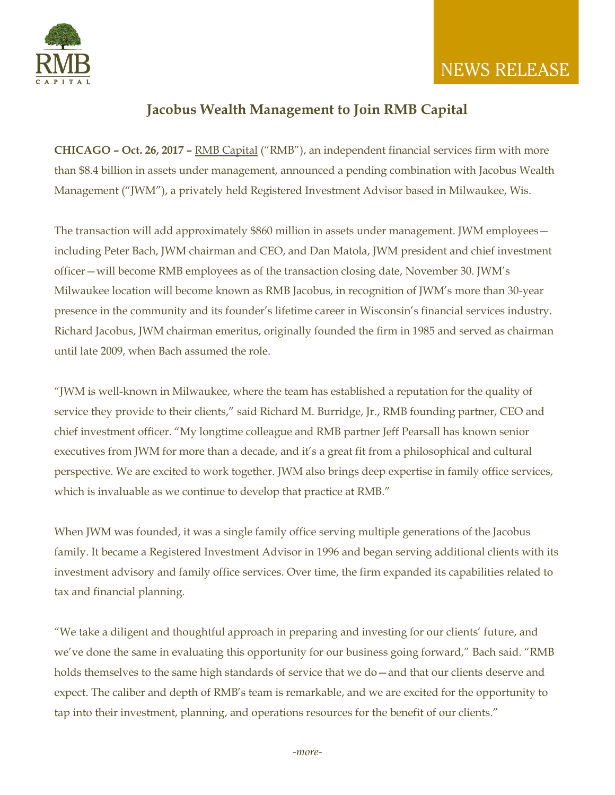

## **NEWS RELEASE**

### **Jacobus Wealth Management to Join RMB Capital**

**CHICAGO – Oct. 26, 2017 –** [RMB Capital](http://www.rmbcap.com/) ("RMB"), an independent financial services firm with more than \$8.4 billion in assets under management, announced a pending combination with Jacobus Wealth Management ("JWM"), a privately held Registered Investment Advisor based in Milwaukee, Wis.

The transaction will add approximately \$860 million in assets under management. JWM employees including Peter Bach, JWM chairman and CEO, and Dan Matola, JWM president and chief investment officer—will become RMB employees as of the transaction closing date, November 30. JWM's Milwaukee location will become known as RMB Jacobus, in recognition of JWM's more than 30-year presence in the community and its founder's lifetime career in Wisconsin's financial services industry. Richard Jacobus, JWM chairman emeritus, originally founded the firm in 1985 and served as chairman until late 2009, when Bach assumed the role.

"JWM is well-known in Milwaukee, where the team has established a reputation for the quality of service they provide to their clients," said Richard M. Burridge, Jr., RMB founding partner, CEO and chief investment officer. "My longtime colleague and RMB partner Jeff Pearsall has known senior executives from JWM for more than a decade, and it's a great fit from a philosophical and cultural perspective. We are excited to work together. JWM also brings deep expertise in family office services, which is invaluable as we continue to develop that practice at RMB."

When JWM was founded, it was a single family office serving multiple generations of the Jacobus family. It became a Registered Investment Advisor in 1996 and began serving additional clients with its investment advisory and family office services. Over time, the firm expanded its capabilities related to tax and financial planning.

"We take a diligent and thoughtful approach in preparing and investing for our clients' future, and we've done the same in evaluating this opportunity for our business going forward," Bach said. "RMB holds themselves to the same high standards of service that we do - and that our clients deserve and expect. The caliber and depth of RMB's team is remarkable, and we are excited for the opportunity to tap into their investment, planning, and operations resources for the benefit of our clients."